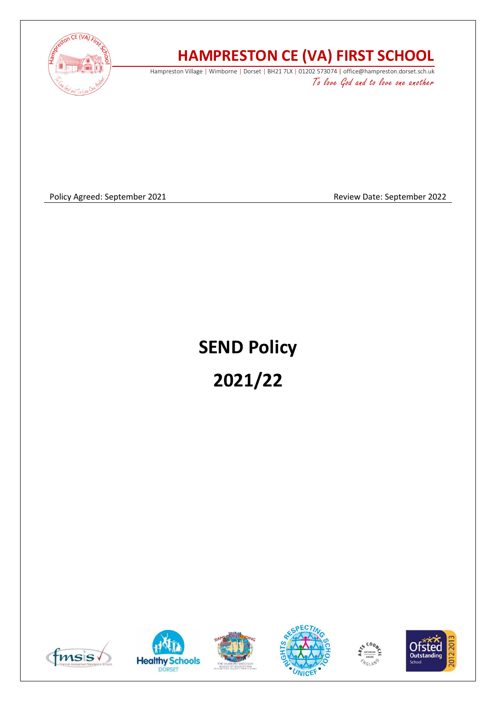

## **HAMPRESTON CE (VA) FIRST SCHOOL**

Hampreston Village | Wimborne | Dorset | BH21 7LX | 01202 573074 | office@hampreston.dorset.sch.uk To love God and to love one another

Policy Agreed: September 2021 and a september 2022 and a september 2022

# **SEND Policy 2021/22**











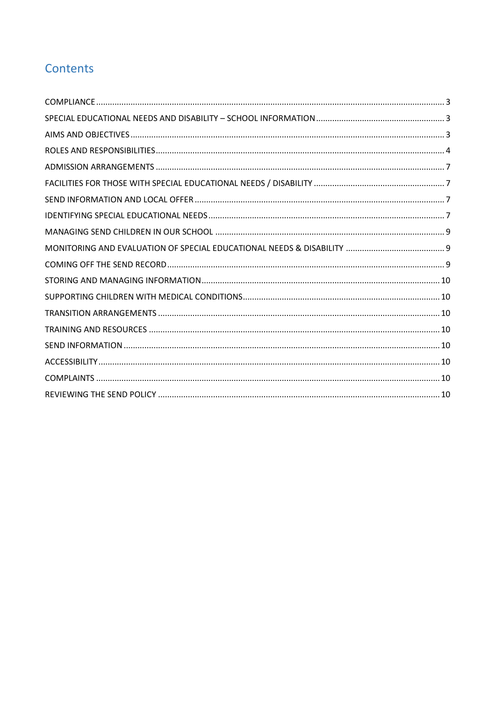## Contents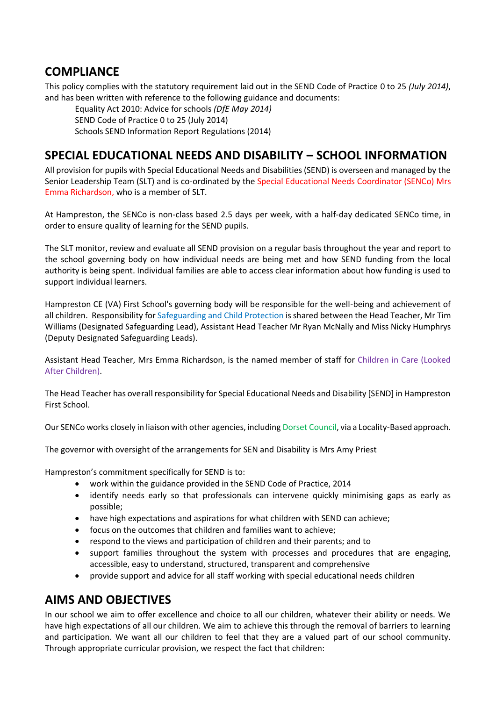#### <span id="page-2-0"></span>**COMPLIANCE**

This policy complies with the statutory requirement laid out in the SEND Code of Practice 0 to 25 *(July 2014)*, and has been written with reference to the following guidance and documents:

Equality Act 2010: Advice for schools *(DfE May 2014)*

SEND Code of Practice 0 to 25 (July 2014)

Schools SEND Information Report Regulations (2014)

## <span id="page-2-1"></span>**SPECIAL EDUCATIONAL NEEDS AND DISABILITY – SCHOOL INFORMATION**

All provision for pupils with Special Educational Needs and Disabilities (SEND) is overseen and managed by the Senior Leadership Team (SLT) and is co-ordinated by the Special Educational Needs Coordinator (SENCo) Mrs Emma Richardson, who is a member of SLT.

At Hampreston, the SENCo is non-class based 2.5 days per week, with a half-day dedicated SENCo time, in order to ensure quality of learning for the SEND pupils.

The SLT monitor, review and evaluate all SEND provision on a regular basis throughout the year and report to the school governing body on how individual needs are being met and how SEND funding from the local authority is being spent. Individual families are able to access clear information about how funding is used to support individual learners.

Hampreston CE (VA) First School's governing body will be responsible for the well-being and achievement of all children. Responsibility for Safeguarding and Child Protection is shared between the Head Teacher, Mr Tim Williams (Designated Safeguarding Lead), Assistant Head Teacher Mr Ryan McNally and Miss Nicky Humphrys (Deputy Designated Safeguarding Leads).

Assistant Head Teacher, Mrs Emma Richardson, is the named member of staff for Children in Care (Looked After Children).

The Head Teacher has overall responsibility for Special Educational Needs and Disability [SEND] in Hampreston First School.

Our SENCo works closely in liaison with other agencies, including Dorset Council, via a Locality-Based approach.

The governor with oversight of the arrangements for SEN and Disability is Mrs Amy Priest

Hampreston's commitment specifically for SEND is to:

- work within the guidance provided in the SEND Code of Practice, 2014
- identify needs early so that professionals can intervene quickly minimising gaps as early as possible;
- have high expectations and aspirations for what children with SEND can achieve;
- focus on the outcomes that children and families want to achieve;
- respond to the views and participation of children and their parents; and to
- support families throughout the system with processes and procedures that are engaging, accessible, easy to understand, structured, transparent and comprehensive
- provide support and advice for all staff working with special educational needs children

#### <span id="page-2-2"></span>**AIMS AND OBJECTIVES**

In our school we aim to offer excellence and choice to all our children, whatever their ability or needs. We have high expectations of all our children. We aim to achieve this through the removal of barriers to learning and participation. We want all our children to feel that they are a valued part of our school community. Through appropriate curricular provision, we respect the fact that children: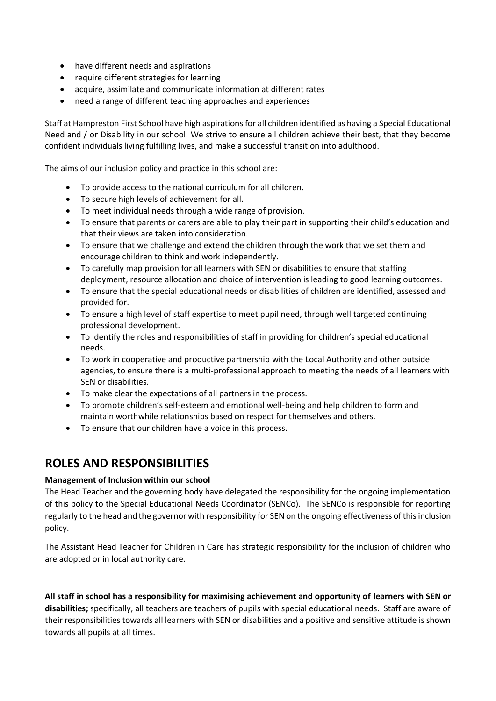- have different needs and aspirations
- require different strategies for learning
- acquire, assimilate and communicate information at different rates
- need a range of different teaching approaches and experiences

Staff at Hampreston First School have high aspirations for all children identified as having a Special Educational Need and / or Disability in our school. We strive to ensure all children achieve their best, that they become confident individuals living fulfilling lives, and make a successful transition into adulthood.

The aims of our inclusion policy and practice in this school are:

- To provide access to the national curriculum for all children.
- To secure high levels of achievement for all.
- To meet individual needs through a wide range of provision.
- To ensure that parents or carers are able to play their part in supporting their child's education and that their views are taken into consideration.
- To ensure that we challenge and extend the children through the work that we set them and encourage children to think and work independently.
- To carefully map provision for all learners with SEN or disabilities to ensure that staffing deployment, resource allocation and choice of intervention is leading to good learning outcomes.
- To ensure that the special educational needs or disabilities of children are identified, assessed and provided for.
- To ensure a high level of staff expertise to meet pupil need, through well targeted continuing professional development.
- To identify the roles and responsibilities of staff in providing for children's special educational needs.
- To work in cooperative and productive partnership with the Local Authority and other outside agencies, to ensure there is a multi-professional approach to meeting the needs of all learners with SEN or disabilities.
- To make clear the expectations of all partners in the process.
- To promote children's self-esteem and emotional well-being and help children to form and maintain worthwhile relationships based on respect for themselves and others.
- To ensure that our children have a voice in this process.

#### <span id="page-3-0"></span>**ROLES AND RESPONSIBILITIES**

#### **Management of Inclusion within our school**

The Head Teacher and the governing body have delegated the responsibility for the ongoing implementation of this policy to the Special Educational Needs Coordinator (SENCo). The SENCo is responsible for reporting regularly to the head and the governor with responsibility for SEN on the ongoing effectiveness of this inclusion policy.

The Assistant Head Teacher for Children in Care has strategic responsibility for the inclusion of children who are adopted or in local authority care.

**All staff in school has a responsibility for maximising achievement and opportunity of learners with SEN or disabilities;** specifically, all teachers are teachers of pupils with special educational needs. Staff are aware of their responsibilities towards all learners with SEN or disabilities and a positive and sensitive attitude is shown towards all pupils at all times.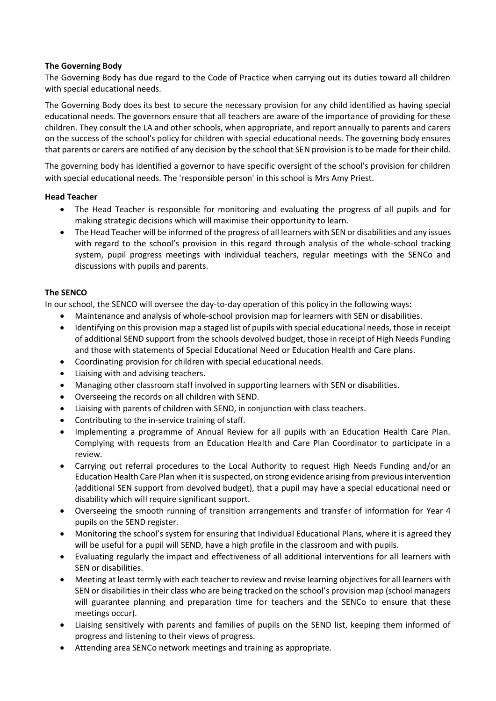#### **The Governing Body**

The Governing Body has due regard to the Code of Practice when carrying out its duties toward all children with special educational needs.

The Governing Body does its best to secure the necessary provision for any child identified as having special educational needs. The governors ensure that all teachers are aware of the importance of providing for these children. They consult the LA and other schools, when appropriate, and report annually to parents and carers on the success of the school's policy for children with special educational needs. The governing body ensures that parents or carers are notified of any decision by the school that SEN provision is to be made for their child.

The governing body has identified a governor to have specific oversight of the school's provision for children with special educational needs. The 'responsible person' in this school is Mrs Amy Priest.

#### **Head Teacher**

- The Head Teacher is responsible for monitoring and evaluating the progress of all pupils and for making strategic decisions which will maximise their opportunity to learn.
- The Head Teacher will be informed of the progress of all learners with SEN or disabilities and any issues with regard to the school's provision in this regard through analysis of the whole-school tracking system, pupil progress meetings with individual teachers, regular meetings with the SENCo and discussions with pupils and parents.

#### **The SENCO**

In our school, the SENCO will oversee the day-to-day operation of this policy in the following ways:

- Maintenance and analysis of whole-school provision map for learners with SEN or disabilities.
- Identifying on this provision map a staged list of pupils with special educational needs, those in receipt of additional SEND support from the schools devolved budget, those in receipt of High Needs Funding and those with statements of Special Educational Need or Education Health and Care plans.
- Coordinating provision for children with special educational needs.
- Liaising with and advising teachers.
- Managing other classroom staff involved in supporting learners with SEN or disabilities.
- Overseeing the records on all children with SEND.
- Liaising with parents of children with SEND, in conjunction with class teachers.
- Contributing to the in-service training of staff.
- Implementing a programme of Annual Review for all pupils with an Education Health Care Plan. Complying with requests from an Education Health and Care Plan Coordinator to participate in a review.
- Carrying out referral procedures to the Local Authority to request High Needs Funding and/or an Education Health Care Plan when it is suspected, on strong evidence arising from previous intervention (additional SEN support from devolved budget), that a pupil may have a special educational need or disability which will require significant support.
- Overseeing the smooth running of transition arrangements and transfer of information for Year 4 pupils on the SEND register.
- Monitoring the school's system for ensuring that Individual Educational Plans, where it is agreed they will be useful for a pupil will SEND, have a high profile in the classroom and with pupils.
- Evaluating regularly the impact and effectiveness of all additional interventions for all learners with SEN or disabilities.
- Meeting at least termly with each teacher to review and revise learning objectives for all learners with SEN or disabilities in their class who are being tracked on the school's provision map (school managers will guarantee planning and preparation time for teachers and the SENCo to ensure that these meetings occur).
- Liaising sensitively with parents and families of pupils on the SEND list, keeping them informed of progress and listening to their views of progress.
- Attending area SENCo network meetings and training as appropriate.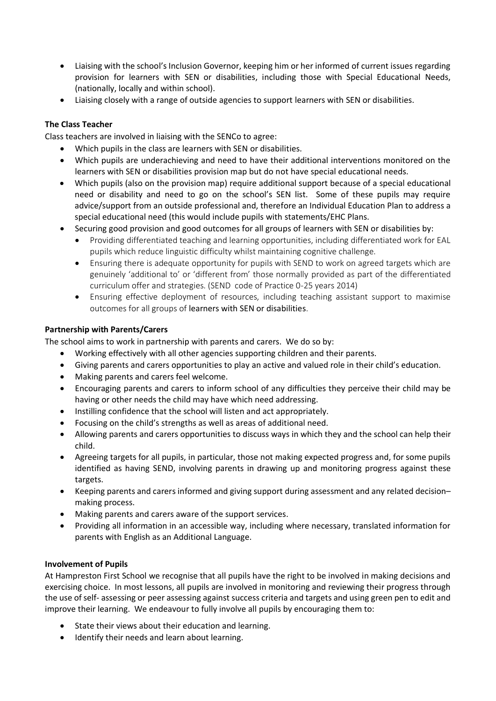- Liaising with the school's Inclusion Governor, keeping him or her informed of current issues regarding provision for learners with SEN or disabilities, including those with Special Educational Needs, (nationally, locally and within school).
- Liaising closely with a range of outside agencies to support learners with SEN or disabilities.

#### **The Class Teacher**

Class teachers are involved in liaising with the SENCo to agree:

- Which pupils in the class are learners with SEN or disabilities.
- Which pupils are underachieving and need to have their additional interventions monitored on the learners with SEN or disabilities provision map but do not have special educational needs.
- Which pupils (also on the provision map) require additional support because of a special educational need or disability and need to go on the school's SEN list. Some of these pupils may require advice/support from an outside professional and, therefore an Individual Education Plan to address a special educational need (this would include pupils with statements/EHC Plans.
- Securing good provision and good outcomes for all groups of learners with SEN or disabilities by:
	- Providing differentiated teaching and learning opportunities, including differentiated work for EAL pupils which reduce linguistic difficulty whilst maintaining cognitive challenge.
	- Ensuring there is adequate opportunity for pupils with SEND to work on agreed targets which are genuinely 'additional to' or 'different from' those normally provided as part of the differentiated curriculum offer and strategies. (SEND code of Practice 0-25 years 2014)
	- Ensuring effective deployment of resources, including teaching assistant support to maximise outcomes for all groups of learners with SEN or disabilities.

#### **Partnership with Parents/Carers**

The school aims to work in partnership with parents and carers. We do so by:

- Working effectively with all other agencies supporting children and their parents.
- Giving parents and carers opportunities to play an active and valued role in their child's education.
- Making parents and carers feel welcome.
- Encouraging parents and carers to inform school of any difficulties they perceive their child may be having or other needs the child may have which need addressing.
- Instilling confidence that the school will listen and act appropriately.
- Focusing on the child's strengths as well as areas of additional need.
- Allowing parents and carers opportunities to discuss ways in which they and the school can help their child.
- Agreeing targets for all pupils, in particular, those not making expected progress and, for some pupils identified as having SEND, involving parents in drawing up and monitoring progress against these targets.
- Keeping parents and carers informed and giving support during assessment and any related decision– making process.
- Making parents and carers aware of the support services.
- Providing all information in an accessible way, including where necessary, translated information for parents with English as an Additional Language.

#### **Involvement of Pupils**

At Hampreston First School we recognise that all pupils have the right to be involved in making decisions and exercising choice. In most lessons, all pupils are involved in monitoring and reviewing their progress through the use of self- assessing or peer assessing against success criteria and targets and using green pen to edit and improve their learning. We endeavour to fully involve all pupils by encouraging them to:

- State their views about their education and learning.
- Identify their needs and learn about learning.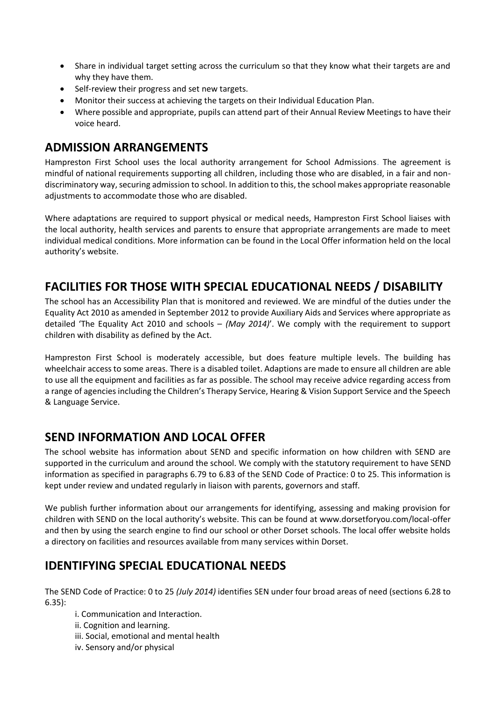- Share in individual target setting across the curriculum so that they know what their targets are and why they have them.
- Self-review their progress and set new targets.
- Monitor their success at achieving the targets on their Individual Education Plan.
- Where possible and appropriate, pupils can attend part of their Annual Review Meetings to have their voice heard.

#### <span id="page-6-0"></span>**ADMISSION ARRANGEMENTS**

Hampreston First School uses the local authority arrangement for School Admissions. The agreement is mindful of national requirements supporting all children, including those who are disabled, in a fair and nondiscriminatory way, securing admission to school. In addition to this, the school makes appropriate reasonable adjustments to accommodate those who are disabled.

Where adaptations are required to support physical or medical needs, Hampreston First School liaises with the local authority, health services and parents to ensure that appropriate arrangements are made to meet individual medical conditions. More information can be found in the Local Offer information held on the local authority's website.

## <span id="page-6-1"></span>**FACILITIES FOR THOSE WITH SPECIAL EDUCATIONAL NEEDS / DISABILITY**

The school has an Accessibility Plan that is monitored and reviewed. We are mindful of the duties under the Equality Act 2010 as amended in September 2012 to provide Auxiliary Aids and Services where appropriate as detailed 'The Equality Act 2010 and schools – *(May 2014)*'. We comply with the requirement to support children with disability as defined by the Act.

Hampreston First School is moderately accessible, but does feature multiple levels. The building has wheelchair access to some areas. There is a disabled toilet. Adaptions are made to ensure all children are able to use all the equipment and facilities as far as possible. The school may receive advice regarding access from a range of agencies including the Children's Therapy Service, Hearing & Vision Support Service and the Speech & Language Service.

#### <span id="page-6-2"></span>**SEND INFORMATION AND LOCAL OFFER**

The school website has information about SEND and specific information on how children with SEND are supported in the curriculum and around the school. We comply with the statutory requirement to have SEND information as specified in paragraphs 6.79 to 6.83 of the SEND Code of Practice: 0 to 25. This information is kept under review and undated regularly in liaison with parents, governors and staff.

We publish further information about our arrangements for identifying, assessing and making provision for children with SEND on the local authority's website. This can be found at www.dorsetforyou.com/local-offer and then by using the search engine to find our school or other Dorset schools. The local offer website holds a directory on facilities and resources available from many services within Dorset.

#### <span id="page-6-3"></span>**IDENTIFYING SPECIAL EDUCATIONAL NEEDS**

The SEND Code of Practice: 0 to 25 *(July 2014)* identifies SEN under four broad areas of need (sections 6.28 to 6.35):

i. Communication and Interaction.

ii. Cognition and learning.

iii. Social, emotional and mental health

iv. Sensory and/or physical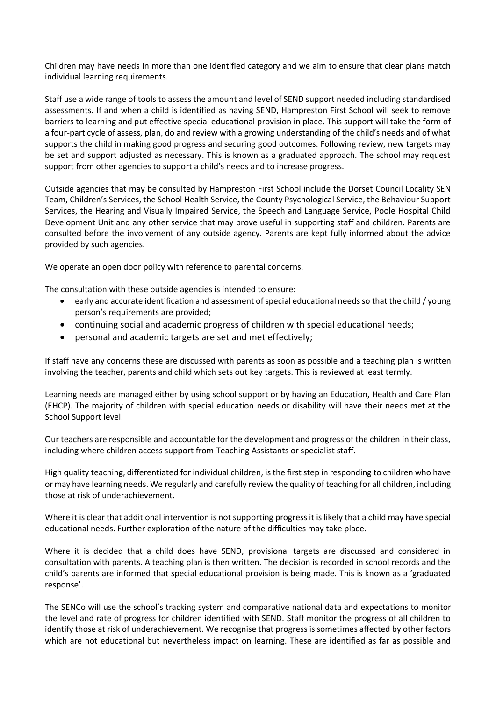Children may have needs in more than one identified category and we aim to ensure that clear plans match individual learning requirements.

Staff use a wide range of tools to assess the amount and level of SEND support needed including standardised assessments. If and when a child is identified as having SEND, Hampreston First School will seek to remove barriers to learning and put effective special educational provision in place. This support will take the form of a four-part cycle of assess, plan, do and review with a growing understanding of the child's needs and of what supports the child in making good progress and securing good outcomes. Following review, new targets may be set and support adjusted as necessary. This is known as a graduated approach. The school may request support from other agencies to support a child's needs and to increase progress.

Outside agencies that may be consulted by Hampreston First School include the Dorset Council Locality SEN Team, Children's Services, the School Health Service, the County Psychological Service, the Behaviour Support Services, the Hearing and Visually Impaired Service, the Speech and Language Service, Poole Hospital Child Development Unit and any other service that may prove useful in supporting staff and children. Parents are consulted before the involvement of any outside agency. Parents are kept fully informed about the advice provided by such agencies.

We operate an open door policy with reference to parental concerns.

The consultation with these outside agencies is intended to ensure:

- early and accurate identification and assessment of special educational needs so that the child / young person's requirements are provided;
- continuing social and academic progress of children with special educational needs;
- personal and academic targets are set and met effectively;

If staff have any concerns these are discussed with parents as soon as possible and a teaching plan is written involving the teacher, parents and child which sets out key targets. This is reviewed at least termly.

Learning needs are managed either by using school support or by having an Education, Health and Care Plan (EHCP). The majority of children with special education needs or disability will have their needs met at the School Support level.

Our teachers are responsible and accountable for the development and progress of the children in their class, including where children access support from Teaching Assistants or specialist staff.

High quality teaching, differentiated for individual children, is the first step in responding to children who have or may have learning needs. We regularly and carefully review the quality of teaching for all children, including those at risk of underachievement.

Where it is clear that additional intervention is not supporting progress it is likely that a child may have special educational needs. Further exploration of the nature of the difficulties may take place.

Where it is decided that a child does have SEND, provisional targets are discussed and considered in consultation with parents. A teaching plan is then written. The decision is recorded in school records and the child's parents are informed that special educational provision is being made. This is known as a 'graduated response'.

The SENCo will use the school's tracking system and comparative national data and expectations to monitor the level and rate of progress for children identified with SEND. Staff monitor the progress of all children to identify those at risk of underachievement. We recognise that progress is sometimes affected by other factors which are not educational but nevertheless impact on learning. These are identified as far as possible and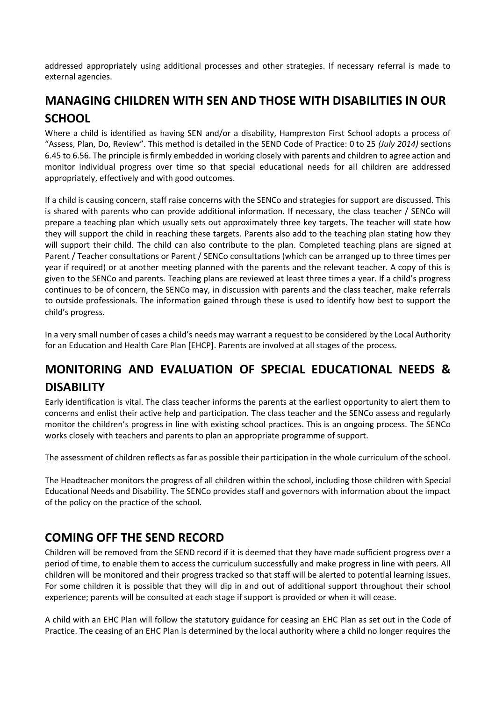addressed appropriately using additional processes and other strategies. If necessary referral is made to external agencies.

## <span id="page-8-0"></span>**MANAGING CHILDREN WITH SEN AND THOSE WITH DISABILITIES IN OUR SCHOOL**

Where a child is identified as having SEN and/or a disability, Hampreston First School adopts a process of "Assess, Plan, Do, Review". This method is detailed in the SEND Code of Practice: 0 to 25 *(July 2014)* sections 6.45 to 6.56. The principle is firmly embedded in working closely with parents and children to agree action and monitor individual progress over time so that special educational needs for all children are addressed appropriately, effectively and with good outcomes.

If a child is causing concern, staff raise concerns with the SENCo and strategies for support are discussed. This is shared with parents who can provide additional information. If necessary, the class teacher / SENCo will prepare a teaching plan which usually sets out approximately three key targets. The teacher will state how they will support the child in reaching these targets. Parents also add to the teaching plan stating how they will support their child. The child can also contribute to the plan. Completed teaching plans are signed at Parent / Teacher consultations or Parent / SENCo consultations (which can be arranged up to three times per year if required) or at another meeting planned with the parents and the relevant teacher. A copy of this is given to the SENCo and parents. Teaching plans are reviewed at least three times a year. If a child's progress continues to be of concern, the SENCo may, in discussion with parents and the class teacher, make referrals to outside professionals. The information gained through these is used to identify how best to support the child's progress.

In a very small number of cases a child's needs may warrant a request to be considered by the Local Authority for an Education and Health Care Plan [EHCP]. Parents are involved at all stages of the process.

## <span id="page-8-1"></span>**MONITORING AND EVALUATION OF SPECIAL EDUCATIONAL NEEDS & DISABILITY**

Early identification is vital. The class teacher informs the parents at the earliest opportunity to alert them to concerns and enlist their active help and participation. The class teacher and the SENCo assess and regularly monitor the children's progress in line with existing school practices. This is an ongoing process. The SENCo works closely with teachers and parents to plan an appropriate programme of support.

The assessment of children reflects as far as possible their participation in the whole curriculum of the school.

The Headteacher monitors the progress of all children within the school, including those children with Special Educational Needs and Disability. The SENCo provides staff and governors with information about the impact of the policy on the practice of the school.

#### <span id="page-8-2"></span>**COMING OFF THE SEND RECORD**

Children will be removed from the SEND record if it is deemed that they have made sufficient progress over a period of time, to enable them to access the curriculum successfully and make progress in line with peers. All children will be monitored and their progress tracked so that staff will be alerted to potential learning issues. For some children it is possible that they will dip in and out of additional support throughout their school experience; parents will be consulted at each stage if support is provided or when it will cease.

A child with an EHC Plan will follow the statutory guidance for ceasing an EHC Plan as set out in the Code of Practice. The ceasing of an EHC Plan is determined by the local authority where a child no longer requires the